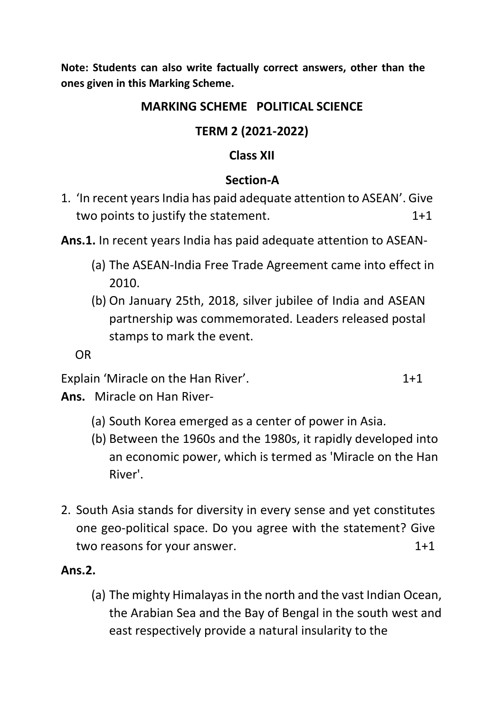**Note: Students can also write factually correct answers, other than the ones given in this Marking Scheme.**

#### **MARKING SCHEME POLITICAL SCIENCE**

## **TERM 2 (2021-2022)**

### **Class XII**

## **Section-A**

1. 'In recent years India has paid adequate attention to ASEAN'. Give two points to justify the statement. 1+1

**Ans.1.** In recent years India has paid adequate attention to ASEAN-

- (a) The ASEAN-India Free Trade Agreement came into effect in 2010.
- (b) On January 25th, 2018, silver jubilee of India and ASEAN partnership was commemorated. Leaders released postal stamps to mark the event.

OR

Explain 'Miracle on the Han River'. 1+1

**Ans.** Miracle on Han River-

- (a) South Korea emerged as a center of power in Asia.
- (b) Between the 1960s and the 1980s, it rapidly developed into an economic power, which is termed as 'Miracle on the Han River'.
- 2. South Asia stands for diversity in every sense and yet constitutes one geo-political space. Do you agree with the statement? Give two reasons for your answer. The same state of  $1+1$

## **Ans.2.**

(a) The mighty Himalayas in the north and the vast Indian Ocean, the Arabian Sea and the Bay of Bengal in the south west and east respectively provide a natural insularity to the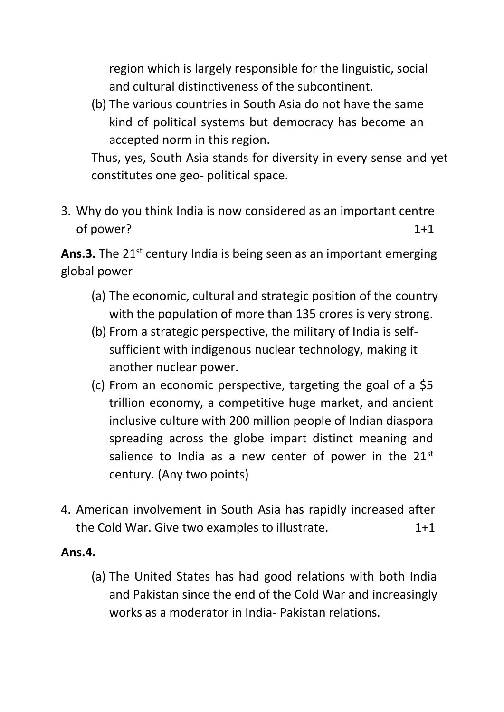region which is largely responsible for the linguistic, social and cultural distinctiveness of the subcontinent.

(b) The various countries in South Asia do not have the same kind of political systems but democracy has become an accepted norm in this region.

Thus, yes, South Asia stands for diversity in every sense and yet constitutes one geo- political space.

3. Why do you think India is now considered as an important centre of power? 1+1

**Ans.3.** The 21<sup>st</sup> century India is being seen as an important emerging global power-

- (a) The economic, cultural and strategic position of the country with the population of more than 135 crores is very strong.
- (b) From a strategic perspective, the military of India is selfsufficient with indigenous nuclear technology, making it another nuclear power.
- (c) From an economic perspective, targeting the goal of a \$5 trillion economy, a competitive huge market, and ancient inclusive culture with 200 million people of Indian diaspora spreading across the globe impart distinct meaning and salience to India as a new center of power in the 21st century. (Any two points)
- 4. American involvement in South Asia has rapidly increased after the Cold War. Give two examples to illustrate. 1+1

#### **Ans.4.**

(a) The United States has had good relations with both India and Pakistan since the end of the Cold War and increasingly works as a moderator in India- Pakistan relations.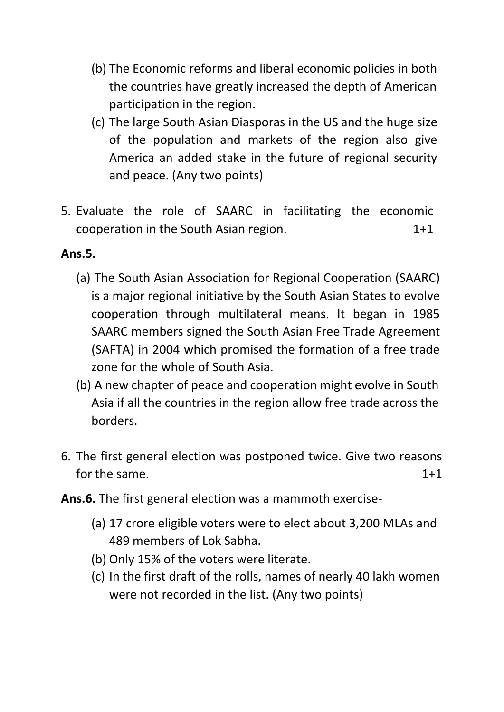- (b) The Economic reforms and liberal economic policies in both the countries have greatly increased the depth of American participation in the region.
- (c) The large South Asian Diasporas in the US and the huge size of the population and markets of the region also give America an added stake in the future of regional security and peace. (Any two points)
- 5. Evaluate the role of SAARC in facilitating the economic cooperation in the South Asian region. 1+1

## **Ans.5.**

- (a) The South Asian Association for Regional Cooperation (SAARC) is a major regional initiative by the South Asian States to evolve cooperation through multilateral means. It began in 1985 SAARC members signed the South Asian Free Trade Agreement (SAFTA) in 2004 which promised the formation of a free trade zone for the whole of South Asia.
- (b) A new chapter of peace and cooperation might evolve in South Asia if all the countries in the region allow free trade across the borders.
- 6. The first general election was postponed twice. Give two reasons for the same. The same of the same of the same of the same of the same of the same of the same of the same of the same of the same of the same of the same of the same of the same of the same of the same of the same of the
- **Ans.6.** The first general election was a mammoth exercise-
	- (a) 17 crore eligible voters were to elect about 3,200 MLAs and 489 members of Lok Sabha.
	- (b) Only 15% of the voters were literate.
	- (c) In the first draft of the rolls, names of nearly 40 lakh women were not recorded in the list. (Any two points)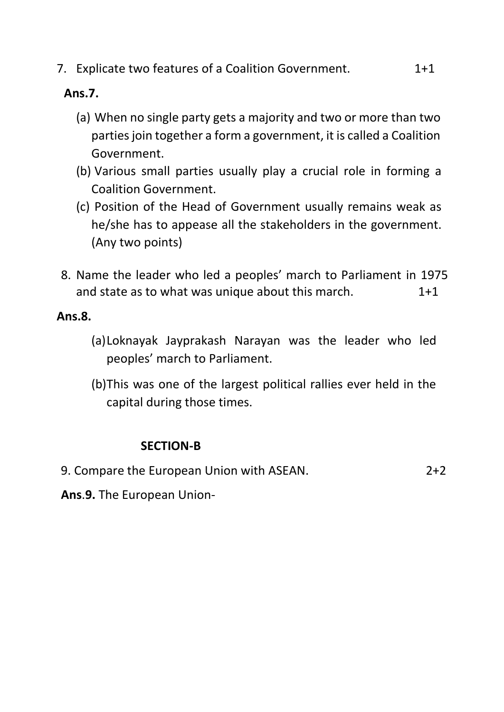7. Explicate two features of a Coalition Government. 2+1

#### **Ans.7.**

- (a) When no single party gets a majority and two or more than two parties join together a form a government, it is called a Coalition Government.
- (b) Various small parties usually play a crucial role in forming a Coalition Government.
- (c) Position of the Head of Government usually remains weak as he/she has to appease all the stakeholders in the government. (Any two points)
- 8. Name the leader who led a peoples' march to Parliament in 1975 and state as to what was unique about this march. 1+1

#### **Ans.8.**

- (a)Loknayak Jayprakash Narayan was the leader who led peoples' march to Parliament.
- (b)This was one of the largest political rallies ever held in the capital during those times.

## **SECTION-B**

9. Compare the European Union with ASEAN. 2+2

**Ans**.**9.** The European Union-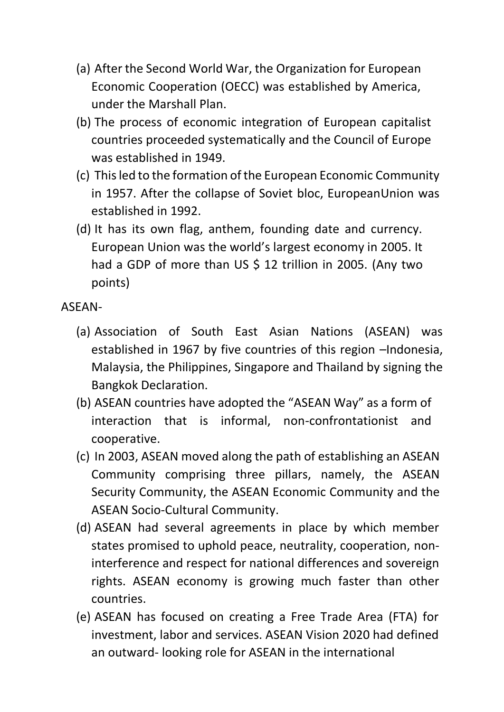- (a) After the Second World War, the Organization for European Economic Cooperation (OECC) was established by America, under the Marshall Plan.
- (b) The process of economic integration of European capitalist countries proceeded systematically and the Council of Europe was established in 1949.
- (c) This led to the formation of the European Economic Community in 1957. After the collapse of Soviet bloc, EuropeanUnion was established in 1992.
- (d) It has its own flag, anthem, founding date and currency. European Union was the world's largest economy in 2005. It had a GDP of more than US \$ 12 trillion in 2005. (Any two points)

ASEAN-

- (a) Association of South East Asian Nations (ASEAN) was established in 1967 by five countries of this region –Indonesia, Malaysia, the Philippines, Singapore and Thailand by signing the Bangkok Declaration.
- (b) ASEAN countries have adopted the "ASEAN Way" as a form of interaction that is informal, non-confrontationist and cooperative.
- (c) In 2003, ASEAN moved along the path of establishing an ASEAN Community comprising three pillars, namely, the ASEAN Security Community, the ASEAN Economic Community and the ASEAN Socio-Cultural Community.
- (d) ASEAN had several agreements in place by which member states promised to uphold peace, neutrality, cooperation, noninterference and respect for national differences and sovereign rights. ASEAN economy is growing much faster than other countries.
- (e) ASEAN has focused on creating a Free Trade Area (FTA) for investment, labor and services. ASEAN Vision 2020 had defined an outward- looking role for ASEAN in the international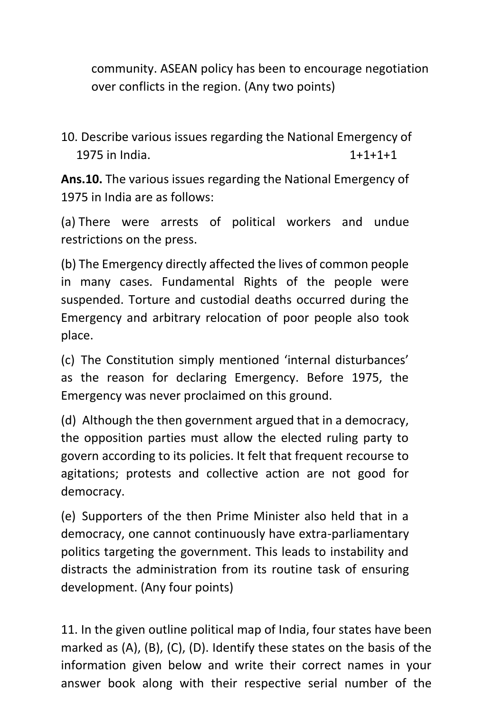community. ASEAN policy has been to encourage negotiation over conflicts in the region. (Any two points)

10. Describe various issues regarding the National Emergency of 1975 in India. 1+1+1+1

**Ans.10.** The various issues regarding the National Emergency of 1975 in India are as follows:

(a) There were arrests of political workers and undue restrictions on the press.

(b) The Emergency directly affected the lives of common people in many cases. Fundamental Rights of the people were suspended. Torture and custodial deaths occurred during the Emergency and arbitrary relocation of poor people also took place.

(c) The Constitution simply mentioned 'internal disturbances' as the reason for declaring Emergency. Before 1975, the Emergency was never proclaimed on this ground.

(d) Although the then government argued that in a democracy, the opposition parties must allow the elected ruling party to govern according to its policies. It felt that frequent recourse to agitations; protests and collective action are not good for democracy.

(e) Supporters of the then Prime Minister also held that in a democracy, one cannot continuously have extra-parliamentary politics targeting the government. This leads to instability and distracts the administration from its routine task of ensuring development. (Any four points)

11. In the given outline political map of India, four states have been marked as (A), (B), (C), (D). Identify these states on the basis of the information given below and write their correct names in your answer book along with their respective serial number of the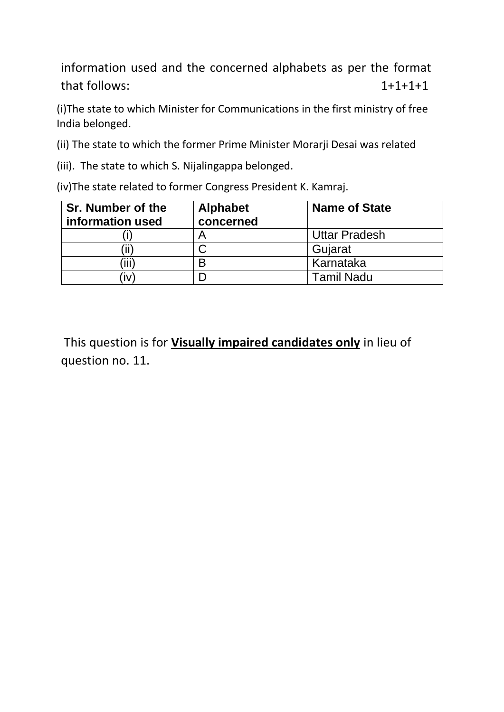information used and the concerned alphabets as per the format that follows: 1+1+1+1

(i)The state to which Minister for Communications in the first ministry of free India belonged.

(ii) The state to which the former Prime Minister Morarji Desai was related

(iii). The state to which S. Nijalingappa belonged.

(iv)The state related to former Congress President K. Kamraj.

| Sr. Number of the | <b>Alphabet</b> | <b>Name of State</b> |
|-------------------|-----------------|----------------------|
| information used  | concerned       |                      |
|                   |                 | <b>Uttar Pradesh</b> |
|                   |                 | Gujarat              |
| ΪĤ                | B               | Karnataka            |
| ÏV                |                 | <b>Tamil Nadu</b>    |

This question is for **Visually impaired candidates only** in lieu of question no. 11.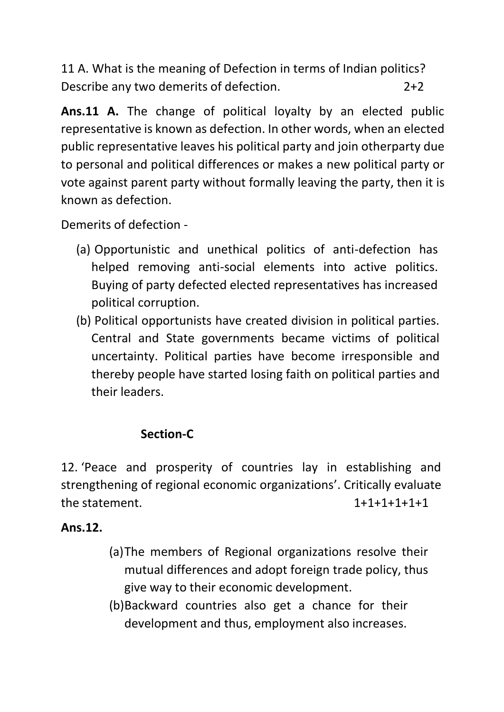11 A. What is the meaning of Defection in terms of Indian politics? Describe any two demerits of defection. 2+2

**Ans.11 A.** The change of political loyalty by an elected public representative is known as defection. In other words, when an elected public representative leaves his political party and join otherparty due to personal and political differences or makes a new political party or vote against parent party without formally leaving the party, then it is known as defection.

Demerits of defection -

- (a) Opportunistic and unethical politics of anti-defection has helped removing anti-social elements into active politics. Buying of party defected elected representatives has increased political corruption.
- (b) Political opportunists have created division in political parties. Central and State governments became victims of political uncertainty. Political parties have become irresponsible and thereby people have started losing faith on political parties and their leaders.

# **Section-C**

12. 'Peace and prosperity of countries lay in establishing and strengthening of regional economic organizations'. Critically evaluate the statement. 1+1+1+1+1+1

## **Ans.12.**

- (a)The members of Regional organizations resolve their mutual differences and adopt foreign trade policy, thus give way to their economic development.
- (b)Backward countries also get a chance for their development and thus, employment also increases.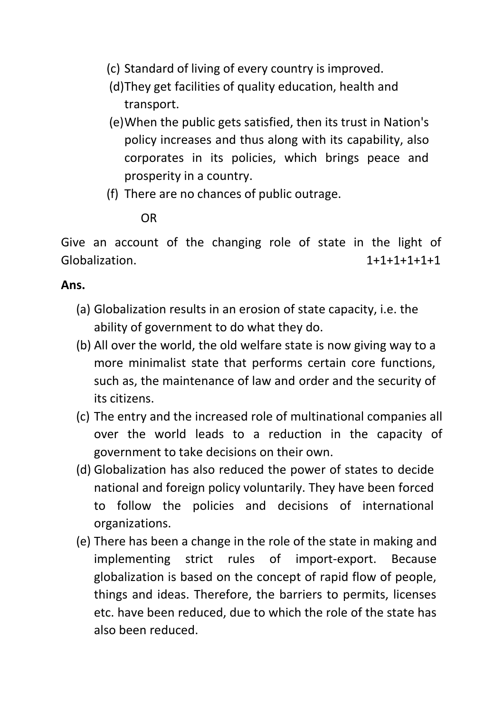- (c) Standard of living of every country is improved.
- (d)They get facilities of quality education, health and transport.
- (e)When the public gets satisfied, then its trust in Nation's policy increases and thus along with its capability, also corporates in its policies, which brings peace and prosperity in a country.
- (f) There are no chances of public outrage.

## OR

Give an account of the changing role of state in the light of Globalization. 1+1+1+1+1+1

## **Ans.**

- (a) Globalization results in an erosion of state capacity, i.e. the ability of government to do what they do.
- (b) All over the world, the old welfare state is now giving way to a more minimalist state that performs certain core functions, such as, the maintenance of law and order and the security of its citizens.
- (c) The entry and the increased role of multinational companies all over the world leads to a reduction in the capacity of government to take decisions on their own.
- (d) Globalization has also reduced the power of states to decide national and foreign policy voluntarily. They have been forced to follow the policies and decisions of international organizations.
- (e) There has been a change in the role of the state in making and implementing strict rules of import-export. Because globalization is based on the concept of rapid flow of people, things and ideas. Therefore, the barriers to permits, licenses etc. have been reduced, due to which the role of the state has also been reduced.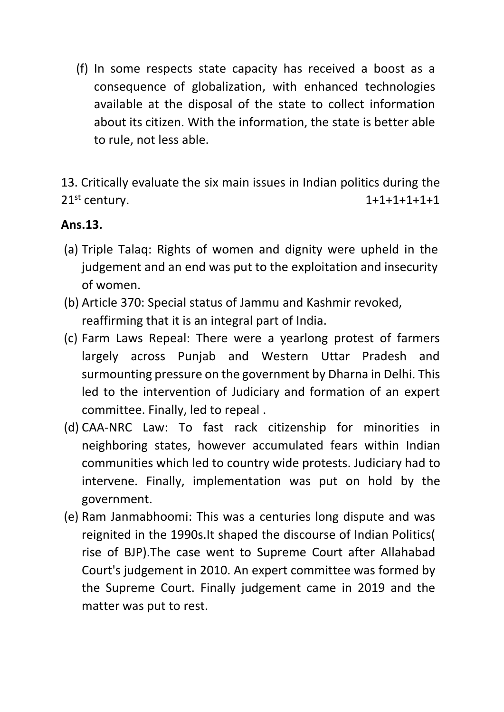(f) In some respects state capacity has received a boost as a consequence of globalization, with enhanced technologies available at the disposal of the state to collect information about its citizen. With the information, the state is better able to rule, not less able.

13. Critically evaluate the six main issues in Indian politics during the 21<sup>st</sup> century. 1+1+1+1+1+1+1

#### **Ans.13.**

- (a) Triple Talaq: Rights of women and dignity were upheld in the judgement and an end was put to the exploitation and insecurity of women.
- (b) Article 370: Special status of Jammu and Kashmir revoked, reaffirming that it is an integral part of India.
- (c) Farm Laws Repeal: There were a yearlong protest of farmers largely across Punjab and Western Uttar Pradesh and surmounting pressure on the government by Dharna in Delhi. This led to the intervention of Judiciary and formation of an expert committee. Finally, led to repeal .
- (d) CAA-NRC Law: To fast rack citizenship for minorities in neighboring states, however accumulated fears within Indian communities which led to country wide protests. Judiciary had to intervene. Finally, implementation was put on hold by the government.
- (e) Ram Janmabhoomi: This was a centuries long dispute and was reignited in the 1990s.It shaped the discourse of Indian Politics( rise of BJP).The case went to Supreme Court after Allahabad Court's judgement in 2010. An expert committee was formed by the Supreme Court. Finally judgement came in 2019 and the matter was put to rest.